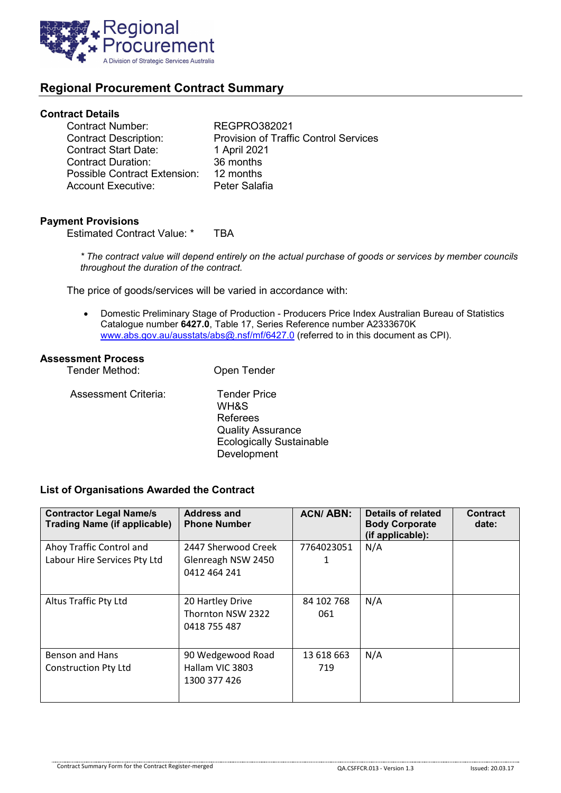

# **Regional Procurement Contract Summary**

### **Contract Details**

| Contract Number:             | <b>REGPRO382021</b>                          |
|------------------------------|----------------------------------------------|
| <b>Contract Description:</b> | <b>Provision of Traffic Control Services</b> |
| <b>Contract Start Date:</b>  | 1 April 2021                                 |
| Contract Duration:           | 36 months                                    |
| Possible Contract Extension: | 12 months                                    |
| Account Executive:           | Peter Salafia                                |
|                              |                                              |

## **Payment Provisions**

Estimated Contract Value: \* TBA

*\* The contract value will depend entirely on the actual purchase of goods or services by member councils throughout the duration of the contract.*

The price of goods/services will be varied in accordance with:

• Domestic Preliminary Stage of Production - Producers Price Index Australian Bureau of Statistics Catalogue number **6427.0**, Table 17, Series Reference number A2333670K [www.abs.gov.au/ausstats/abs@.nsf/mf/6427.0](http://www.abs.gov.au/ausstats/abs@.nsf/mf/6427.0) (referred to in this document as CPI).

### **Assessment Process**

| Tender Method:       | Open Tender                                                                                                           |
|----------------------|-----------------------------------------------------------------------------------------------------------------------|
| Assessment Criteria: | <b>Tender Price</b><br>WH&S<br>Referees<br><b>Quality Assurance</b><br><b>Ecologically Sustainable</b><br>Development |

### **List of Organisations Awarded the Contract**

| <b>Contractor Legal Name/s</b><br><b>Trading Name (if applicable)</b> | <b>Address and</b><br><b>Phone Number</b>                 | <b>ACN/ABN:</b>   | Details of related<br><b>Body Corporate</b><br>(if applicable): | <b>Contract</b><br>date: |
|-----------------------------------------------------------------------|-----------------------------------------------------------|-------------------|-----------------------------------------------------------------|--------------------------|
| Ahoy Traffic Control and<br>Labour Hire Services Pty Ltd              | 2447 Sherwood Creek<br>Glenreagh NSW 2450<br>0412 464 241 | 7764023051<br>1   | N/A                                                             |                          |
| Altus Traffic Pty Ltd                                                 | 20 Hartley Drive<br>Thornton NSW 2322<br>0418 755 487     | 84 102 768<br>061 | N/A                                                             |                          |
| <b>Benson and Hans</b><br><b>Construction Pty Ltd</b>                 | 90 Wedgewood Road<br>Hallam VIC 3803<br>1300 377 426      | 13 618 663<br>719 | N/A                                                             |                          |